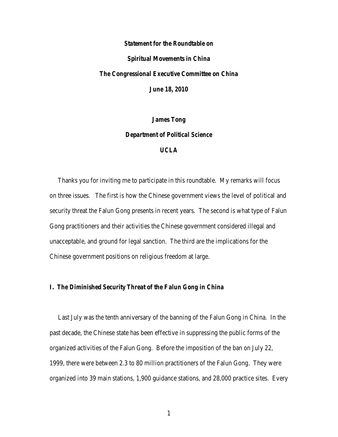## *Statement for the Roundtable on Spiritual Movements in China The Congressional Executive Committee on China June 18, 2010*

*James Tong Department of Political Science UCLA*

 Thanks you for inviting me to participate in this roundtable. My remarks will focus on three issues. The first is how the Chinese government views the level of political and security threat the Falun Gong presents in recent years. The second is what type of Falun Gong practitioners and their activities the Chinese government considered illegal and unacceptable, and ground for legal sanction. The third are the implications for the Chinese government positions on religious freedom at large.

## *I. The Diminished Security Threat of the Falun Gong in China*

 Last July was the tenth anniversary of the banning of the Falun Gong in China. In the past decade, the Chinese state has been effective in suppressing the public forms of the organized activities of the Falun Gong. Before the imposition of the ban on July 22, 1999, there were between 2.3 to 80 million practitioners of the Falun Gong. They were organized into 39 main stations, 1,900 guidance stations, and 28,000 practice sites. Every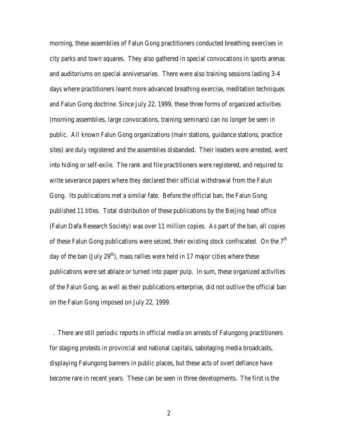morning, these assemblies of Falun Gong practitioners conducted breathing exercises in city parks and town squares. They also gathered in special convocations in sports arenas and auditoriums on special anniversaries. There were also training sessions lasting 3-4 days where practitioners learnt more advanced breathing exercise, meditation techniques and Falun Gong doctrine. Since July 22, 1999, these three forms of organized activities (morning assemblies, large convocations, training seminars) can no longer be seen in public. All known Falun Gong organizations (main stations, guidance stations, practice sites) are duly registered and the assemblies disbanded. Their leaders were arrested, went into hiding or self-exile. The rank and file practitioners were registered, and required to write severance papers where they declared their official withdrawal from the Falun Gong. Its publications met a similar fate. Before the official ban, the Falun Gong published 11 titles. Total distribution of these publications by the Beijing head office (Falun Dafa Research Society) was over 11 million copies. As part of the ban, all copies of these Falun Gong publications were seized, their existing stock confiscated. On the  $7<sup>th</sup>$ day of the ban (July  $29<sup>th</sup>$ ), mass rallies were held in 17 major cities where these publications were set ablaze or turned into paper pulp. In sum, these organized activities of the Falun Gong, as well as their publications enterprise, did not outlive the official ban on the Falun Gong imposed on July 22, 1999.

. There are still periodic reports in official media on arrests of Falungong practitioners for staging protests in provincial and national capitals, sabotaging media broadcasts, displaying Falungong banners in public places, but these acts of overt defiance have become rare in recent years. These can be seen in three developments. The first is the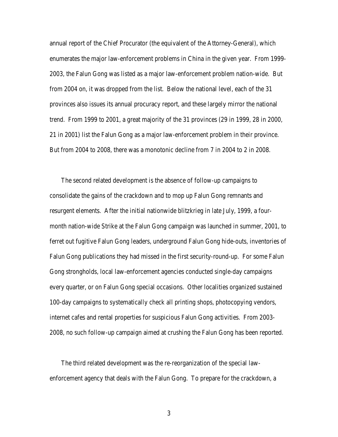annual report of the Chief Procurator (the equivalent of the Attorney-General), which enumerates the major law-enforcement problems in China in the given year. From 1999- 2003, the Falun Gong was listed as a major law-enforcement problem nation-wide. But from 2004 on, it was dropped from the list. Below the national level, each of the 31 provinces also issues its annual procuracy report, and these largely mirror the national trend. From 1999 to 2001, a great majority of the 31 provinces (29 in 1999, 28 in 2000, 21 in 2001) list the Falun Gong as a major law-enforcement problem in their province. But from 2004 to 2008, there was a monotonic decline from 7 in 2004 to 2 in 2008.

 The second related development is the absence of follow-up campaigns to consolidate the gains of the crackdown and to mop up Falun Gong remnants and resurgent elements. After the initial nationwide blitzkrieg in late July, 1999, a fourmonth nation-wide Strike at the Falun Gong campaign was launched in summer, 2001, to ferret out fugitive Falun Gong leaders, underground Falun Gong hide-outs, inventories of Falun Gong publications they had missed in the first security-round-up. For some Falun Gong strongholds, local law-enforcement agencies conducted single-day campaigns every quarter, or on Falun Gong special occasions. Other localities organized sustained 100-day campaigns to systematically check all printing shops, photocopying vendors, internet cafes and rental properties for suspicious Falun Gong activities. From 2003- 2008, no such follow-up campaign aimed at crushing the Falun Gong has been reported.

 The third related development was the re-reorganization of the special lawenforcement agency that deals with the Falun Gong. To prepare for the crackdown, a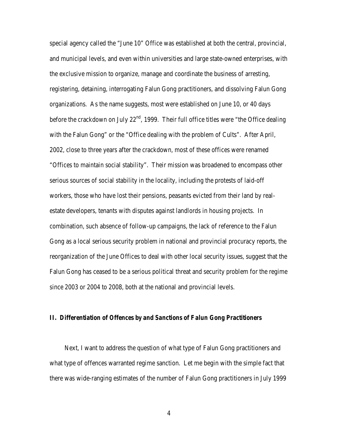special agency called the "June 10" Office was established at both the central, provincial, and municipal levels, and even within universities and large state-owned enterprises, with the exclusive mission to organize, manage and coordinate the business of arresting, registering, detaining, interrogating Falun Gong practitioners, and dissolving Falun Gong organizations. As the name suggests, most were established on June 10, or 40 days before the crackdown on July  $22<sup>nd</sup>$ , 1999. Their full office titles were "the Office dealing with the Falun Gong" or the "Office dealing with the problem of Cults". After April, 2002, close to three years after the crackdown, most of these offices were renamed "Offices to maintain social stability". Their mission was broadened to encompass other serious sources of social stability in the locality, including the protests of laid-off workers, those who have lost their pensions, peasants evicted from their land by realestate developers, tenants with disputes against landlords in housing projects. In combination, such absence of follow-up campaigns, the lack of reference to the Falun Gong as a local serious security problem in national and provincial procuracy reports, the reorganization of the June Offices to deal with other local security issues, suggest that the Falun Gong has ceased to be a serious political threat and security problem for the regime since 2003 or 2004 to 2008, both at the national and provincial levels.

## *II. Differentiation of Offences by and Sanctions of Falun Gong Practitioners*

Next, I want to address the question of what type of Falun Gong practitioners and what type of offences warranted regime sanction. Let me begin with the simple fact that there was wide-ranging estimates of the number of Falun Gong practitioners in July 1999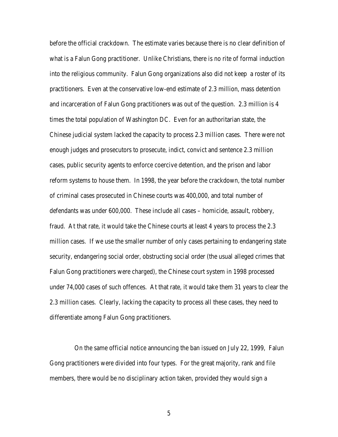before the official crackdown. The estimate varies because there is no clear definition of what is a Falun Gong practitioner. Unlike Christians, there is no rite of formal induction into the religious community. Falun Gong organizations also did not keep a roster of its practitioners. Even at the conservative low-end estimate of 2.3 million, mass detention and incarceration of Falun Gong practitioners was out of the question. 2.3 million is 4 times the total population of Washington DC. Even for an authoritarian state, the Chinese judicial system lacked the capacity to process 2.3 million cases. There were not enough judges and prosecutors to prosecute, indict, convict and sentence 2.3 million cases, public security agents to enforce coercive detention, and the prison and labor reform systems to house them. In 1998, the year before the crackdown, the total number of criminal cases prosecuted in Chinese courts was 400,000, and total number of defendants was under 600,000. These include all cases – homicide, assault, robbery, fraud. At that rate, it would take the Chinese courts at least 4 years to process the 2.3 million cases. If we use the smaller number of only cases pertaining to endangering state security, endangering social order, obstructing social order (the usual alleged crimes that Falun Gong practitioners were charged), the Chinese court system in 1998 processed under 74,000 cases of such offences. At that rate, it would take them 31 years to clear the 2.3 million cases. Clearly, lacking the capacity to process all these cases, they need to differentiate among Falun Gong practitioners.

 On the same official notice announcing the ban issued on July 22, 1999, Falun Gong practitioners were divided into four types. For the great majority, rank and file members, there would be no disciplinary action taken, provided they would sign a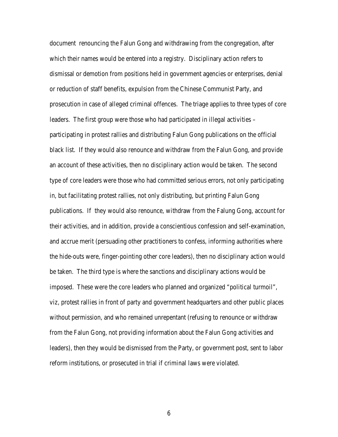document renouncing the Falun Gong and withdrawing from the congregation, after which their names would be entered into a registry. Disciplinary action refers to dismissal or demotion from positions held in government agencies or enterprises, denial or reduction of staff benefits, expulsion from the Chinese Communist Party, and prosecution in case of alleged criminal offences. The triage applies to three types of core leaders. The first group were those who had participated in illegal activities – participating in protest rallies and distributing Falun Gong publications on the official black list. If they would also renounce and withdraw from the Falun Gong, and provide an account of these activities, then no disciplinary action would be taken. The second type of core leaders were those who had committed serious errors, not only participating in, but facilitating protest rallies, not only distributing, but printing Falun Gong publications. If they would also renounce, withdraw from the Falung Gong, account for their activities, and in addition, provide a conscientious confession and self-examination, and accrue merit (persuading other practitioners to confess, informing authorities where the hide-outs were, finger-pointing other core leaders), then no disciplinary action would be taken. The third type is where the sanctions and disciplinary actions would be imposed. These were the core leaders who planned and organized "political turmoil", viz, protest rallies in front of party and government headquarters and other public places without permission, and who remained unrepentant (refusing to renounce or withdraw from the Falun Gong, not providing information about the Falun Gong activities and leaders), then they would be dismissed from the Party, or government post, sent to labor reform institutions, or prosecuted in trial if criminal laws were violated.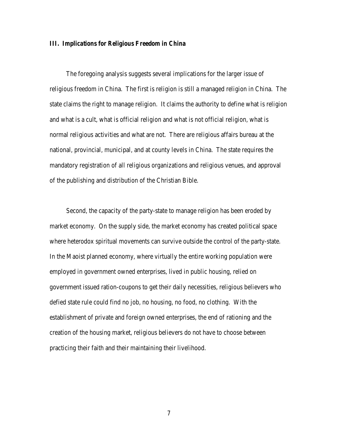## *III. Implications for Religious Freedom in China*

The foregoing analysis suggests several implications for the larger issue of religious freedom in China. The first is religion is still a managed religion in China. The state claims the right to manage religion. It claims the authority to define what is religion and what is a cult, what is official religion and what is not official religion, what is normal religious activities and what are not. There are religious affairs bureau at the national, provincial, municipal, and at county levels in China. The state requires the mandatory registration of all religious organizations and religious venues, and approval of the publishing and distribution of the Christian Bible.

 Second, the capacity of the party-state to manage religion has been eroded by market economy. On the supply side, the market economy has created political space where heterodox spiritual movements can survive outside the control of the party-state. In the Maoist planned economy, where virtually the entire working population were employed in government owned enterprises, lived in public housing, relied on government issued ration-coupons to get their daily necessities, religious believers who defied state rule could find no job, no housing, no food, no clothing. With the establishment of private and foreign owned enterprises, the end of rationing and the creation of the housing market, religious believers do not have to choose between practicing their faith and their maintaining their livelihood.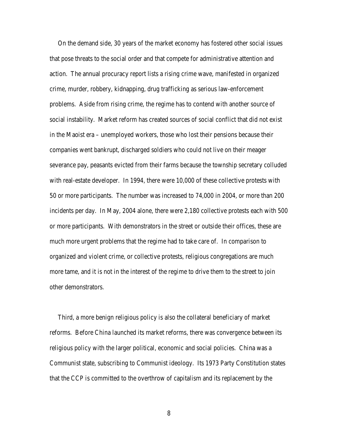On the demand side, 30 years of the market economy has fostered other social issues that pose threats to the social order and that compete for administrative attention and action. The annual procuracy report lists a rising crime wave, manifested in organized crime, murder, robbery, kidnapping, drug trafficking as serious law-enforcement problems. Aside from rising crime, the regime has to contend with another source of social instability. Market reform has created sources of social conflict that did not exist in the Maoist era – unemployed workers, those who lost their pensions because their companies went bankrupt, discharged soldiers who could not live on their meager severance pay, peasants evicted from their farms because the township secretary colluded with real-estate developer. In 1994, there were 10,000 of these collective protests with 50 or more participants. The number was increased to 74,000 in 2004, or more than 200 incidents per day. In May, 2004 alone, there were 2,180 collective protests each with 500 or more participants. With demonstrators in the street or outside their offices, these are much more urgent problems that the regime had to take care of. In comparison to organized and violent crime, or collective protests, religious congregations are much more tame, and it is not in the interest of the regime to drive them to the street to join other demonstrators.

 Third, a more benign religious policy is also the collateral beneficiary of market reforms. Before China launched its market reforms, there was convergence between its religious policy with the larger political, economic and social policies. China was a Communist state, subscribing to Communist ideology. Its 1973 Party Constitution states that the CCP is committed to the overthrow of capitalism and its replacement by the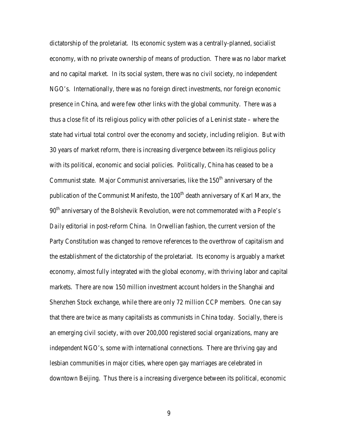dictatorship of the proletariat. Its economic system was a centrally-planned, socialist economy, with no private ownership of means of production. There was no labor market and no capital market. In its social system, there was no civil society, no independent NGO's. Internationally, there was no foreign direct investments, nor foreign economic presence in China, and were few other links with the global community. There was a thus a close fit of its religious policy with other policies of a Leninist state – where the state had virtual total control over the economy and society, including religion. But with 30 years of market reform, there is increasing divergence between its religious policy with its political, economic and social policies. Politically, China has ceased to be a Communist state. Major Communist anniversaries, like the  $150<sup>th</sup>$  anniversary of the publication of the Communist Manifesto, the  $100<sup>th</sup>$  death anniversary of Karl Marx, the 90th anniversary of the Bolshevik Revolution, were not commemorated with a *People's Daily* editorial in post-reform China. In Orwellian fashion, the current version of the Party Constitution was changed to remove references to the overthrow of capitalism and the establishment of the dictatorship of the proletariat. Its economy is arguably a market economy, almost fully integrated with the global economy, with thriving labor and capital markets. There are now 150 million investment account holders in the Shanghai and Shenzhen Stock exchange, while there are only 72 million CCP members. One can say that there are twice as many capitalists as communists in China today. Socially, there is an emerging civil society, with over 200,000 registered social organizations, many are independent NGO's, some with international connections. There are thriving gay and lesbian communities in major cities, where open gay marriages are celebrated in downtown Beijing. Thus there is a increasing divergence between its political, economic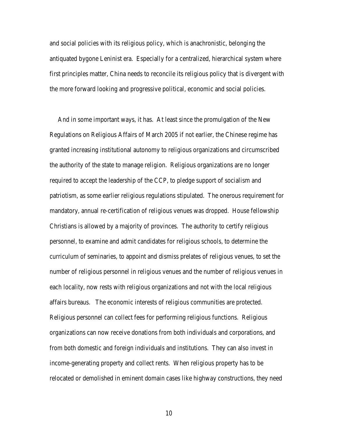and social policies with its religious policy, which is anachronistic, belonging the antiquated bygone Leninist era. Especially for a centralized, hierarchical system where first principles matter, China needs to reconcile its religious policy that is divergent with the more forward looking and progressive political, economic and social policies.

 And in some important ways, it has. At least since the promulgation of the New Regulations on Religious Affairs of March 2005 if not earlier, the Chinese regime has granted increasing institutional autonomy to religious organizations and circumscribed the authority of the state to manage religion. Religious organizations are no longer required to accept the leadership of the CCP, to pledge support of socialism and patriotism, as some earlier religious regulations stipulated. The onerous requirement for mandatory, annual re-certification of religious venues was dropped. House fellowship Christians is allowed by a majority of provinces. The authority to certify religious personnel, to examine and admit candidates for religious schools, to determine the curriculum of seminaries, to appoint and dismiss prelates of religious venues, to set the number of religious personnel in religious venues and the number of religious venues in each locality, now rests with religious organizations and not with the local religious affairs bureaus. The economic interests of religious communities are protected. Religious personnel can collect fees for performing religious functions. Religious organizations can now receive donations from both individuals and corporations, and from both domestic and foreign individuals and institutions. They can also invest in income-generating property and collect rents. When religious property has to be relocated or demolished in eminent domain cases like highway constructions, they need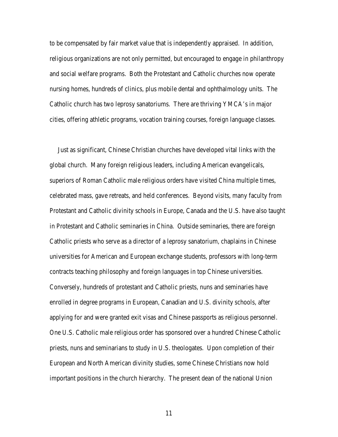to be compensated by fair market value that is independently appraised. In addition, religious organizations are not only permitted, but encouraged to engage in philanthropy and social welfare programs. Both the Protestant and Catholic churches now operate nursing homes, hundreds of clinics, plus mobile dental and ophthalmology units. The Catholic church has two leprosy sanatoriums. There are thriving YMCA's in major cities, offering athletic programs, vocation training courses, foreign language classes.

 Just as significant, Chinese Christian churches have developed vital links with the global church. Many foreign religious leaders, including American evangelicals, superiors of Roman Catholic male religious orders have visited China multiple times, celebrated mass, gave retreats, and held conferences. Beyond visits, many faculty from Protestant and Catholic divinity schools in Europe, Canada and the U.S. have also taught in Protestant and Catholic seminaries in China. Outside seminaries, there are foreign Catholic priests who serve as a director of a leprosy sanatorium, chaplains in Chinese universities for American and European exchange students, professors with long-term contracts teaching philosophy and foreign languages in top Chinese universities. Conversely, hundreds of protestant and Catholic priests, nuns and seminaries have enrolled in degree programs in European, Canadian and U.S. divinity schools, after applying for and were granted exit visas and Chinese passports as religious personnel. One U.S. Catholic male religious order has sponsored over a hundred Chinese Catholic priests, nuns and seminarians to study in U.S. theologates. Upon completion of their European and North American divinity studies, some Chinese Christians now hold important positions in the church hierarchy. The present dean of the national Union